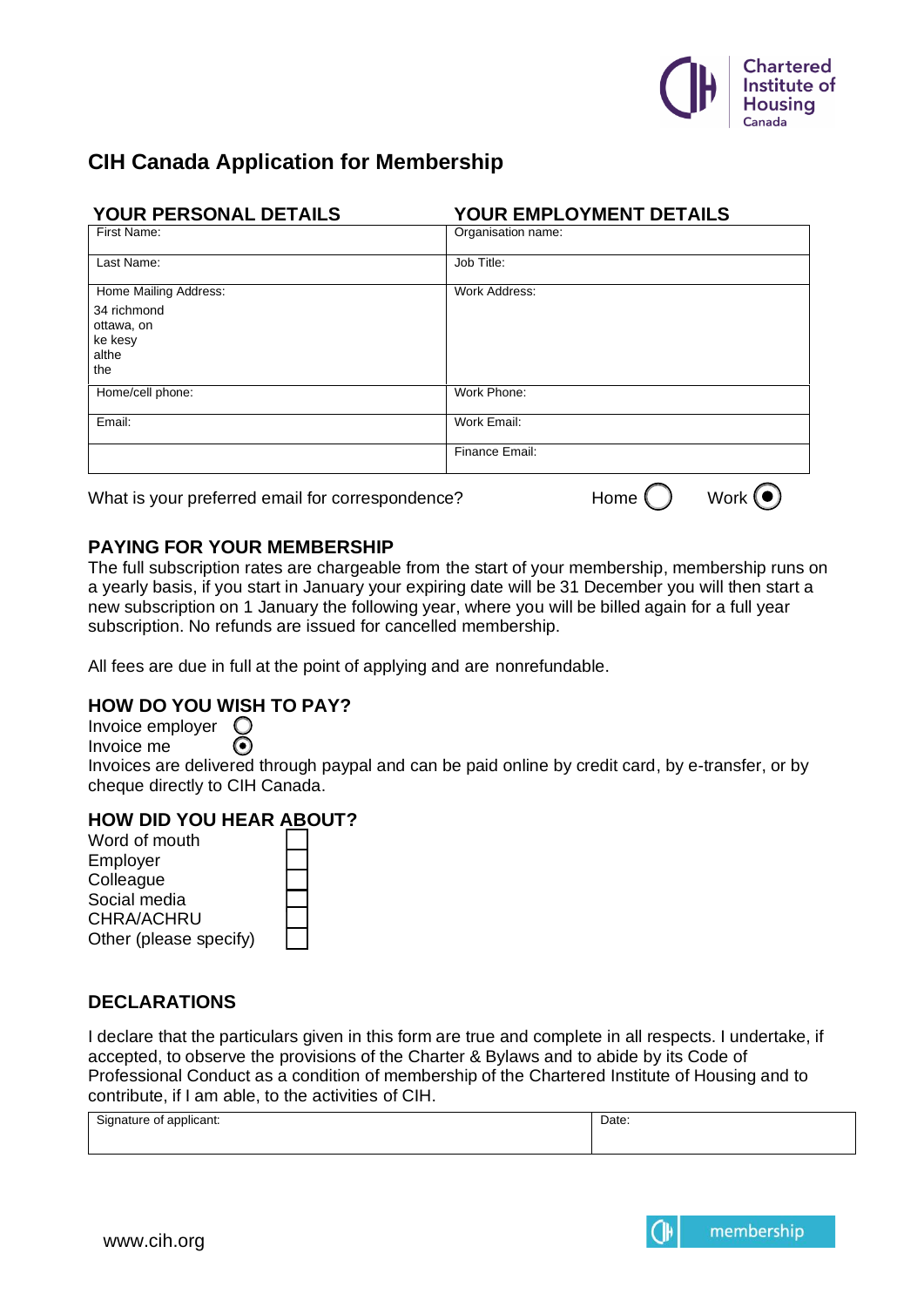

# **CIH Canada Application for Membership**

| YOUR PERSONAL DETAILS                                | YOUR EMPLOYMENT DETAILS |
|------------------------------------------------------|-------------------------|
| First Name:                                          | Organisation name:      |
| Last Name:                                           | Job Title:              |
| Home Mailing Address:                                | Work Address:           |
| 34 richmond<br>ottawa, on<br>ke kesy<br>althe<br>the |                         |
| Home/cell phone:                                     | Work Phone:             |
| Email:                                               | Work Email:             |
|                                                      | Finance Email:          |
|                                                      | _                       |

What is your preferred email for correspondence? Home  $\bigcap$  Work  $\bigcirc$ 

## **PAYING FOR YOUR MEMBERSHIP**

The full subscription rates are chargeable from the start of your membership, membership runs on a yearly basis, if you start in January your expiring date will be 31 December you will then start a new subscription on 1 January the following year, where you will be billed again for a full year subscription. No refunds are issued for cancelled membership.

All fees are due in full at the point of applying and are nonrefundable.

### **HOW DO YOU WISH TO PAY?**

Invoice employer  $\bigcirc$ Invoice me ⊙

Invoices are delivered through paypal and can be paid online by credit card, by e-transfer, or by cheque directly to CIH Canada.

#### **HOW DID YOU HEAR ABOUT?**

Word of mouth Employer **Colleague** Social media CHRA/ACHRU Other (please specify)

# **DECLARATIONS**

I declare that the particulars given in this form are true and complete in all respects. I undertake, if accepted, to observe the provisions of the Charter & Bylaws and to abide by its Code of Professional Conduct as a condition of membership of the Chartered Institute of Housing and to contribute, if I am able, to the activities of CIH.

| $\sim$<br>blicant.<br>$\cdots$<br>ature or<br>$\sim$<br>,,,<br>.<br>. | Date: |
|-----------------------------------------------------------------------|-------|
|                                                                       |       |